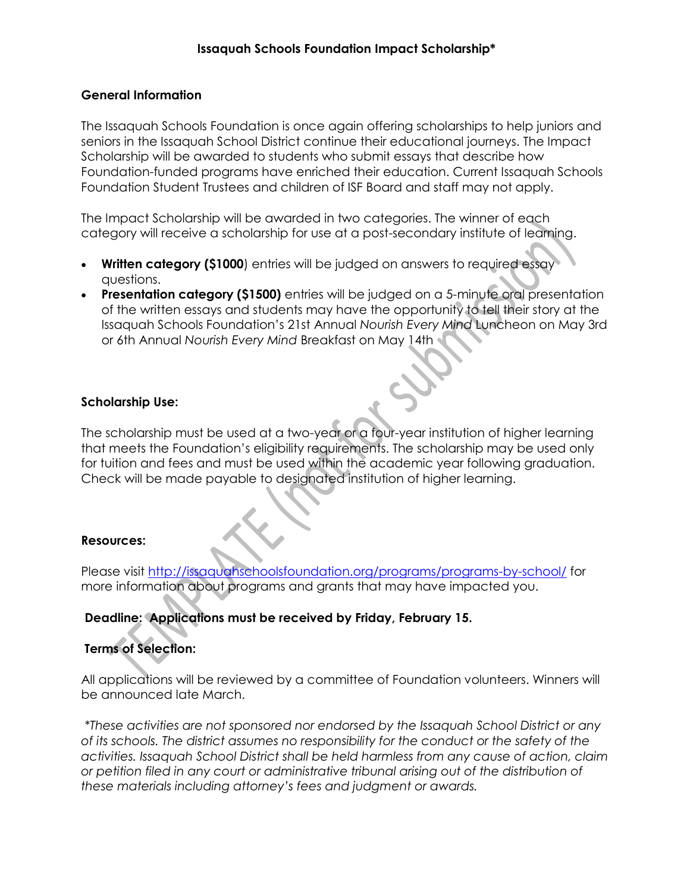## **General Information**

The Issaquah Schools Foundation is once again offering scholarships to help juniors and seniors in the Issaquah School District continue their educational journeys. The Impact Scholarship will be awarded to students who submit essays that describe how Foundation-funded programs have enriched their education. Current Issaquah Schools Foundation Student Trustees and children of ISF Board and staff may not apply.

The Impact Scholarship will be awarded in two categories. The winner of each category will receive a scholarship for use at a post-secondary institute of learning.

- **Written category (\$1000**) entries will be judged on answers to required essay questions.
- **Presentation category (\$1500)** entries will be judged on a 5-minute oral presentation of the written essays and students may have the opportunity to tell their story at the Issaquah Schools Foundation's 21st Annual *Nourish Every Mind* Luncheon on May 3rd or 6th Annual *Nourish Every Mind* Breakfast on May 14th

## **Scholarship Use:**

The scholarship must be used at a two-year or a four-year institution of higher learning that meets the Foundation's eligibility requirements. The scholarship may be used only for tuition and fees and must be used within the academic year following graduation. Check will be made payable to designated institution of higher learning.

## **Resources:**

Please visit <http://issaquahschoolsfoundation.org/programs/programs-by-school/> for more information about programs and grants that may have impacted you.

# **Deadline: Applications must be received by Friday, February 15.**

# **Terms of Selection:**

All applications will be reviewed by a committee of Foundation volunteers. Winners will be announced late March.

*\*These activities are not sponsored nor endorsed by the Issaquah School District or any of its schools. The district assumes no responsibility for the conduct or the safety of the activities. Issaquah School District shall be held harmless from any cause of action, claim or petition filed in any court or administrative tribunal arising out of the distribution of these materials including attorney's fees and judgment or awards.*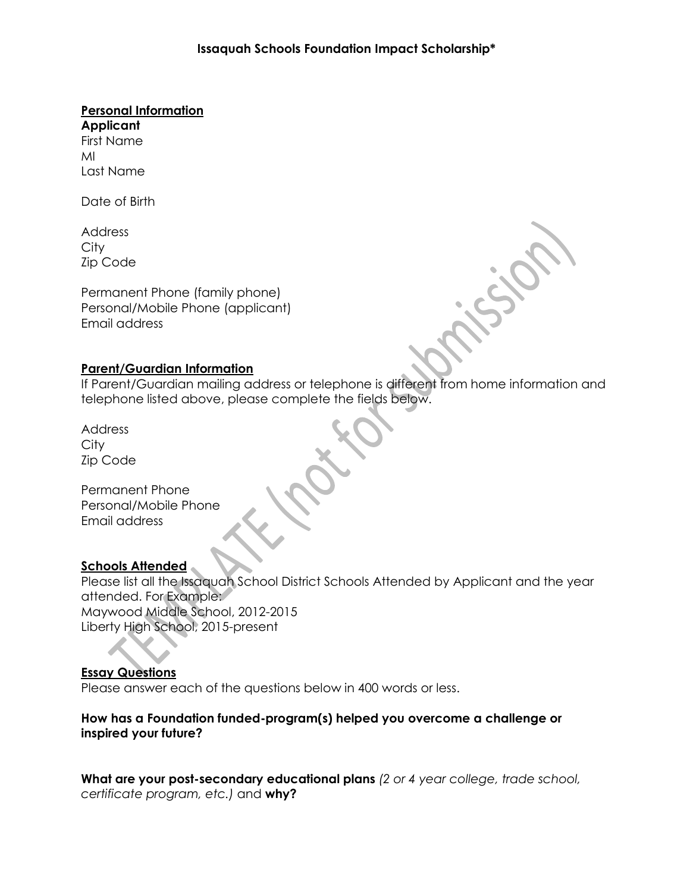#### **Personal Information**

**Applicant** First Name MI Last Name

Date of Birth

Address **City** Zip Code

Permanent Phone (family phone) Personal/Mobile Phone (applicant) Email address

## **Parent/Guardian Information**

If Parent/Guardian mailing address or telephone is different from home information and telephone listed above, please complete the fields below.

Address **City** Zip Code

Permanent Phone Personal/Mobile Phone Email address

# **Schools Attended**

Please list all the Issaquah School District Schools Attended by Applicant and the year attended. For Example: Maywood Middle School, 2012-2015 Liberty High School, 2015-present

## **Essay Questions**

Please answer each of the questions below in 400 words or less.

**How has a Foundation funded-program(s) helped you overcome a challenge or inspired your future?**

**What are your post-secondary educational plans** *(2 or 4 year college, trade school, certificate program, etc.)* and **why?**